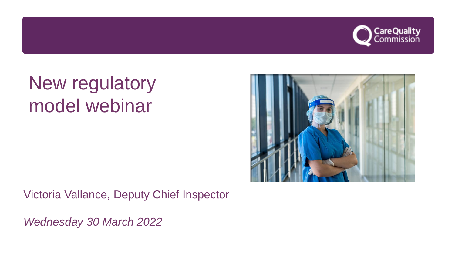

# New regulatory model webinar



Victoria Vallance, Deputy Chief Inspector

*Wednesday 30 March 2022*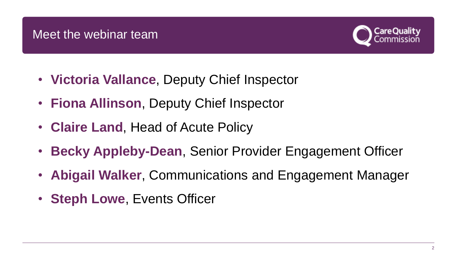

- **Victoria Vallance**, Deputy Chief Inspector
- **Fiona Allinson**, Deputy Chief Inspector
- **Claire Land**, Head of Acute Policy
- **Becky Appleby-Dean**, Senior Provider Engagement Officer
- **Abigail Walker**, Communications and Engagement Manager
- **Steph Lowe**, Events Officer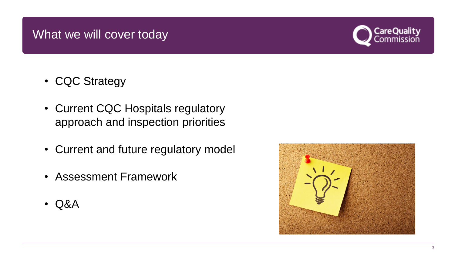# What we will cover today



- CQC Strategy
- Current CQC Hospitals regulatory approach and inspection priorities
- Current and future regulatory model
- Assessment Framework
- Q&A

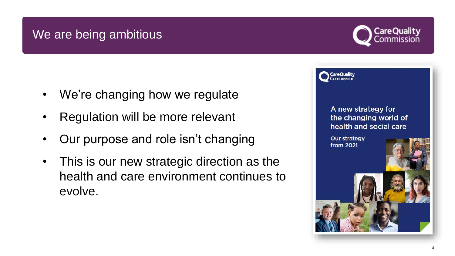# We are being ambitious

- We're changing how we regulate
- Regulation will be more relevant
- Our purpose and role isn't changing
- This is our new strategic direction as the health and care environment continues to evolve.



A new strategy for the changing world of health and social care

**Our strategy** from 2021

CareQuality

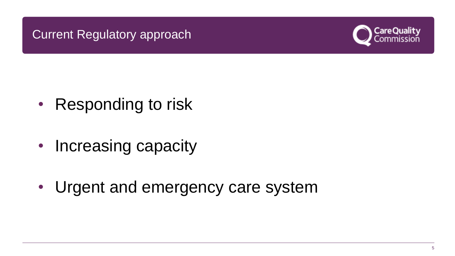# Current Regulatory approach



- Responding to risk
- Increasing capacity
- Urgent and emergency care system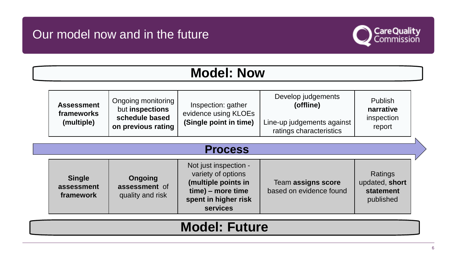# Our model now and in the future



# **Model: Now**

| <b>Assessment</b><br>frameworks<br>(multiple) | Ongoing monitoring<br>but inspections | Inspection: gather<br>evidence using KLOEs<br>(Single point in time) | Develop judgements<br>(offline)                       | <b>Publish</b><br>narrative<br>inspection<br>report |
|-----------------------------------------------|---------------------------------------|----------------------------------------------------------------------|-------------------------------------------------------|-----------------------------------------------------|
|                                               | schedule based<br>on previous rating  |                                                                      | Line-up judgements against<br>ratings characteristics |                                                     |

#### **Process**

| <b>Single</b><br>assessment<br>framework | Ongoing<br>assessment of<br>quality and risk | Not just inspection -<br>variety of options<br>(multiple points in<br>time) – more time<br>spent in higher risk<br><b>services</b> | Team assigns score<br>based on evidence found | Ratings<br>updated, short<br>statement<br>published |
|------------------------------------------|----------------------------------------------|------------------------------------------------------------------------------------------------------------------------------------|-----------------------------------------------|-----------------------------------------------------|
|------------------------------------------|----------------------------------------------|------------------------------------------------------------------------------------------------------------------------------------|-----------------------------------------------|-----------------------------------------------------|

# **Model: Future**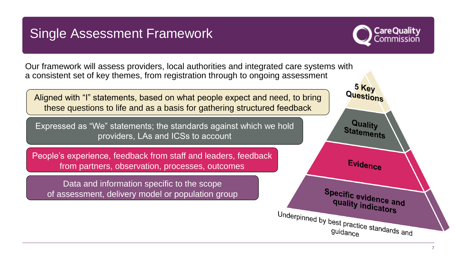# Single Assessment Framework



Our framework will assess providers, local authorities and integrated care systems with a consistent set of key themes, from registration through to ongoing assessment

Aligned with "I" statements, based on what people expect and need, to bring these questions to life and as a basis for gathering structured feedback

Expressed as "We" statements; the standards against which we hold providers, LAs and ICSs to account

People's experience, feedback from staff and leaders, feedback from partners, observation, processes, outcomes

Data and information specific to the scope of assessment, delivery model or population group

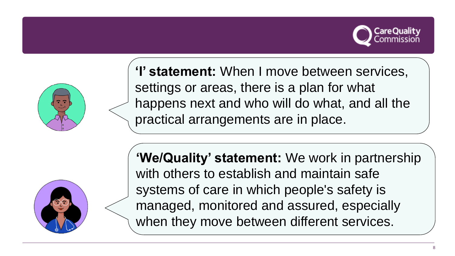



**'I' statement:** When I move between services, settings or areas, there is a plan for what happens next and who will do what, and all the practical arrangements are in place.



**'We/Quality' statement:** We work in partnership with others to establish and maintain safe systems of care in which people's safety is managed, monitored and assured, especially when they move between different services.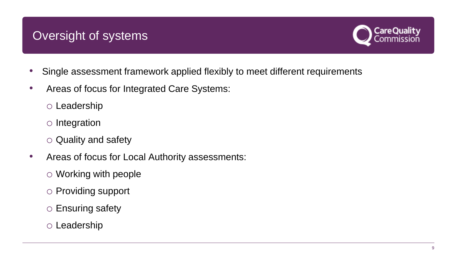# Oversight of systems



- Single assessment framework applied flexibly to meet different requirements
- Areas of focus for Integrated Care Systems:
	- o Leadership
	- o Integration
	- o Quality and safety
- Areas of focus for Local Authority assessments:
	- o Working with people
	- o Providing support
	- o Ensuring safety
	- o Leadership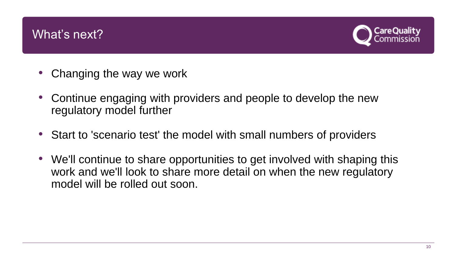### What's next?



- Changing the way we work
- Continue engaging with providers and people to develop the new regulatory model further
- Start to 'scenario test' the model with small numbers of providers
- We'll continue to share opportunities to get involved with shaping this work and we'll look to share more detail on when the new regulatory model will be rolled out soon.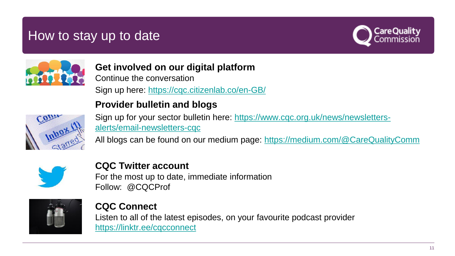# How to stay up to date





**Get involved on our digital platform** Continue the conversation

Sign up here: <https://cqc.citizenlab.co/en-GB/>

#### **Provider bulletin and blogs**



[Sign up for your sector bulletin here: https://www.cqc.org.uk/news/newsletters](https://www.cqc.org.uk/news/newsletters-alerts/email-newsletters-cqc)alerts/email-newsletters-cqc

All blogs can be found on our medium page: <https://medium.com/@CareQualityComm>



**CQC Twitter account** For the most up to date, immediate information Follow: @CQCProf



**CQC Connect** Listen to all of the latest episodes, on your favourite podcast provider <https://linktr.ee/cqcconnect>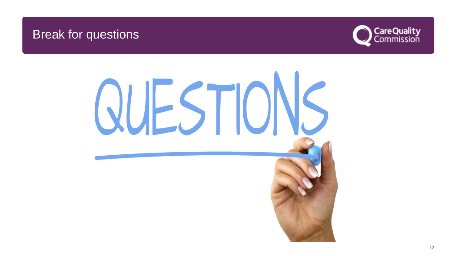### Break for questions